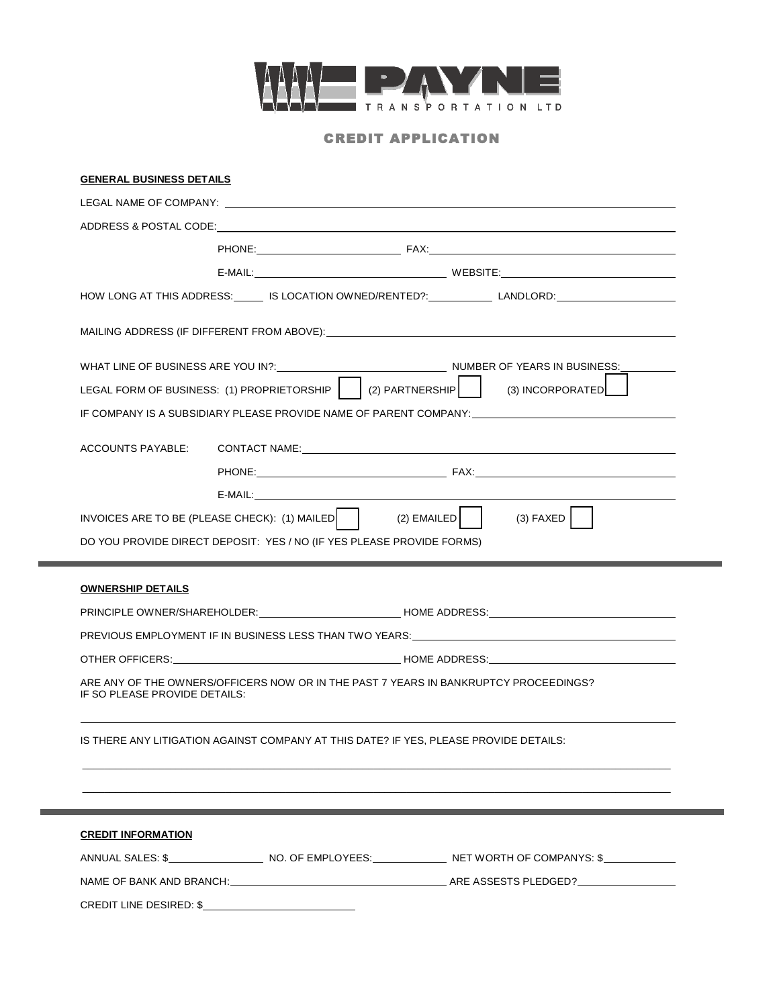

# CREDIT APPLICATION

|                                                           | LEGAL NAME OF COMPANY: <u>Andreas Andrew American Company of the State of American Company of the State of American Company:</u> |                                                                                                                                                                                                                                |
|-----------------------------------------------------------|----------------------------------------------------------------------------------------------------------------------------------|--------------------------------------------------------------------------------------------------------------------------------------------------------------------------------------------------------------------------------|
|                                                           |                                                                                                                                  |                                                                                                                                                                                                                                |
|                                                           |                                                                                                                                  |                                                                                                                                                                                                                                |
|                                                           |                                                                                                                                  |                                                                                                                                                                                                                                |
|                                                           |                                                                                                                                  | HOW LONG AT THIS ADDRESS: ______ IS LOCATION OWNED/RENTED?: ____________ LANDLORD: _________________                                                                                                                           |
|                                                           |                                                                                                                                  | MAILING ADDRESS (IF DIFFERENT FROM ABOVE):                                                                                                                                                                                     |
|                                                           |                                                                                                                                  | WHAT LINE OF BUSINESS ARE YOU IN?: NAMEL ALLOWSED AND NUMBER OF YEARS IN BUSINESS:                                                                                                                                             |
|                                                           | LEGAL FORM OF BUSINESS: (1) PROPRIETORSHIP   (2) PARTNERSHIP                                                                     | (3) INCORPORATED                                                                                                                                                                                                               |
|                                                           |                                                                                                                                  | IF COMPANY IS A SUBSIDIARY PLEASE PROVIDE NAME OF PARENT COMPANY:                                                                                                                                                              |
| ACCOUNTS PAYABLE:                                         |                                                                                                                                  | CONTACT NAME: University of the second service of the service of the service of the service of the service of the service of the service of the service of the service of the service of the service of the service of the ser |
|                                                           |                                                                                                                                  |                                                                                                                                                                                                                                |
|                                                           |                                                                                                                                  |                                                                                                                                                                                                                                |
|                                                           | INVOICES ARE TO BE (PLEASE CHECK): $(1)$ MAILED $\begin{bmatrix} \end{bmatrix}$                                                  | $(2)$ EMAILED $\vert$<br>$(3)$ FAXED                                                                                                                                                                                           |
|                                                           | DO YOU PROVIDE DIRECT DEPOSIT: YES / NO (IF YES PLEASE PROVIDE FORMS)                                                            |                                                                                                                                                                                                                                |
|                                                           |                                                                                                                                  |                                                                                                                                                                                                                                |
|                                                           |                                                                                                                                  |                                                                                                                                                                                                                                |
|                                                           |                                                                                                                                  |                                                                                                                                                                                                                                |
|                                                           |                                                                                                                                  |                                                                                                                                                                                                                                |
|                                                           |                                                                                                                                  | PRINCIPLE OWNER/SHAREHOLDER:___________________________HOME ADDRESS:________________________________                                                                                                                           |
|                                                           |                                                                                                                                  | PREVIOUS EMPLOYMENT IF IN BUSINESS LESS THAN TWO YEARS: UNIVERSED AND REVIOUS EMPLOYMENT IF IN                                                                                                                                 |
|                                                           |                                                                                                                                  |                                                                                                                                                                                                                                |
|                                                           |                                                                                                                                  | ARE ANY OF THE OWNERS/OFFICERS NOW OR IN THE PAST 7 YEARS IN BANKRUPTCY PROCEEDINGS?                                                                                                                                           |
|                                                           |                                                                                                                                  |                                                                                                                                                                                                                                |
|                                                           |                                                                                                                                  | IS THERE ANY LITIGATION AGAINST COMPANY AT THIS DATE? IF YES. PLEASE PROVIDE DETAILS:                                                                                                                                          |
|                                                           |                                                                                                                                  |                                                                                                                                                                                                                                |
|                                                           |                                                                                                                                  |                                                                                                                                                                                                                                |
| <b>OWNERSHIP DETAILS</b><br>IF SO PLEASE PROVIDE DETAILS: |                                                                                                                                  |                                                                                                                                                                                                                                |
| <b>CREDIT INFORMATION</b>                                 |                                                                                                                                  |                                                                                                                                                                                                                                |
|                                                           |                                                                                                                                  | ANNUAL SALES: \$____________________NO. OF EMPLOYEES:_______________NET WORTH OF COMPANYS: \$_________                                                                                                                         |
|                                                           |                                                                                                                                  |                                                                                                                                                                                                                                |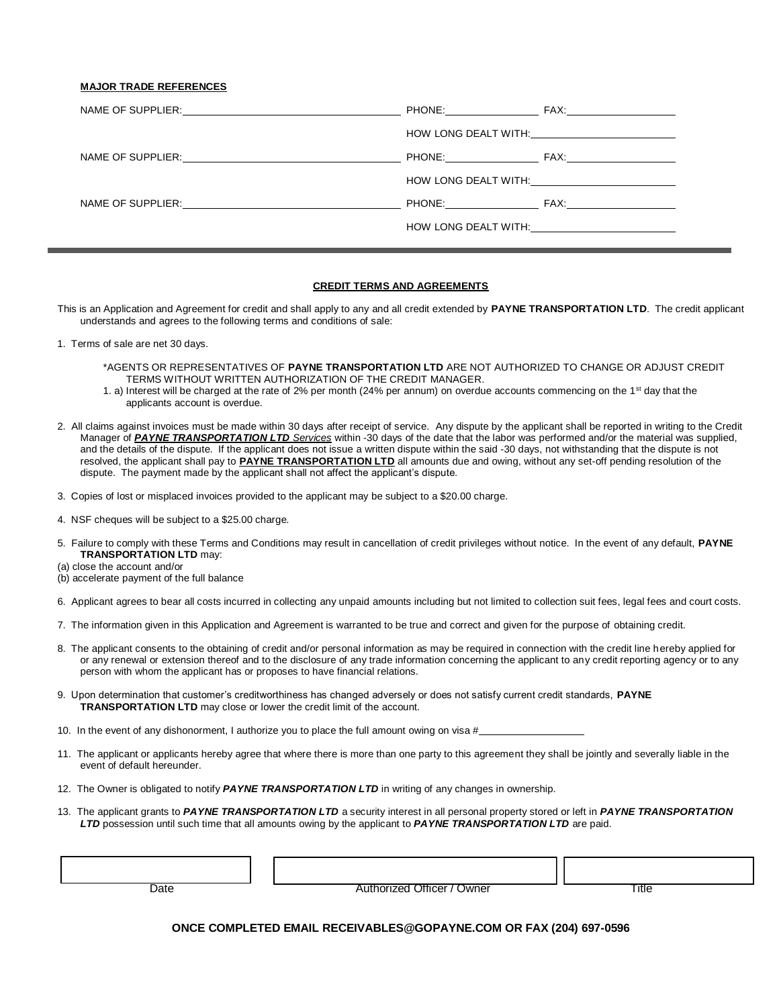#### **MAJOR TRADE REFERENCES**

|  | HOW LONG DEALT WITH: <u>________________</u>                                                                    |
|--|-----------------------------------------------------------------------------------------------------------------|
|  |                                                                                                                 |
|  | HOW LONG DEALT WITH: NOW LONGER TO THE STATE OF THE STATE OF THE STATE OF THE STATE OF THE STATE OF THE STATE O |
|  | PHONE: FAX: FAX:                                                                                                |
|  | HOW LONG DEALT WITH: <u>________________</u>                                                                    |

## **CREDIT TERMS AND AGREEMENTS**

This is an Application and Agreement for credit and shall apply to any and all credit extended by **PAYNE TRANSPORTATION LTD**. The credit applicant understands and agrees to the following terms and conditions of sale:

- 1. Terms of sale are net 30 days.
	- \*AGENTS OR REPRESENTATIVES OF **PAYNE TRANSPORTATION LTD** ARE NOT AUTHORIZED TO CHANGE OR ADJUST CREDIT TERMS WITHOUT WRITTEN AUTHORIZATION OF THE CREDIT MANAGER.
	- 1. a) Interest will be charged at the rate of 2% per month (24% per annum) on overdue accounts commencing on the 1<sup>st</sup> day that the applicants account is overdue.
- 2. All claims against invoices must be made within 30 days after receipt of service. Any dispute by the applicant shall be reported in writing to the Credit Manager of *PAYNE TRANSPORTATION LTD Services* within -30 days of the date that the labor was performed and/or the material was supplied, and the details of the dispute. If the applicant does not issue a written dispute within the said -30 days, not withstanding that the dispute is not resolved, the applicant shall pay to **PAYNE TRANSPORTATION LTD** all amounts due and owing, without any set-off pending resolution of the dispute. The payment made by the applicant shall not affect the applicant's dispute.
- 3. Copies of lost or misplaced invoices provided to the applicant may be subject to a \$20.00 charge.
- 4. NSF cheques will be subject to a \$25.00 charge.
- 5. Failure to comply with these Terms and Conditions may result in cancellation of credit privileges without notice. In the event of any default, **PAYNE TRANSPORTATION LTD** may:
- (a) close the account and/or
- (b) accelerate payment of the full balance
- 6. Applicant agrees to bear all costs incurred in collecting any unpaid amounts including but not limited to collection suit fees, legal fees and court costs.
- 7. The information given in this Application and Agreement is warranted to be true and correct and given for the purpose of obtaining credit.
- 8. The applicant consents to the obtaining of credit and/or personal information as may be required in connection with the credit line hereby applied for or any renewal or extension thereof and to the disclosure of any trade information concerning the applicant to any credit reporting agency or to any person with whom the applicant has or proposes to have financial relations.
- 9. Upon determination that customer's creditworthiness has changed adversely or does not satisfy current credit standards, **PAYNE TRANSPORTATION LTD** may close or lower the credit limit of the account.
- 10. In the event of any dishonorment, I authorize you to place the full amount owing on visa #
- 11. The applicant or applicants hereby agree that where there is more than one party to this agreement they shall be jointly and severally liable in the event of default hereunder.
- 12. The Owner is obligated to notify *PAYNE TRANSPORTATION LTD* in writing of any changes in ownership.
- 13. The applicant grants to *PAYNE TRANSPORTATION LTD* a security interest in all personal property stored or left in *PAYNE TRANSPORTATION LTD* possession until such time that all amounts owing by the applicant to *PAYNE TRANSPORTATION LTD* are paid.

Date **Title Contract Authorized Officer / Owner** Title Title

### **ONCE COMPLETED EMAIL RECEIVABLES@GOPAYNE.COM OR FAX (204) 697-0596**